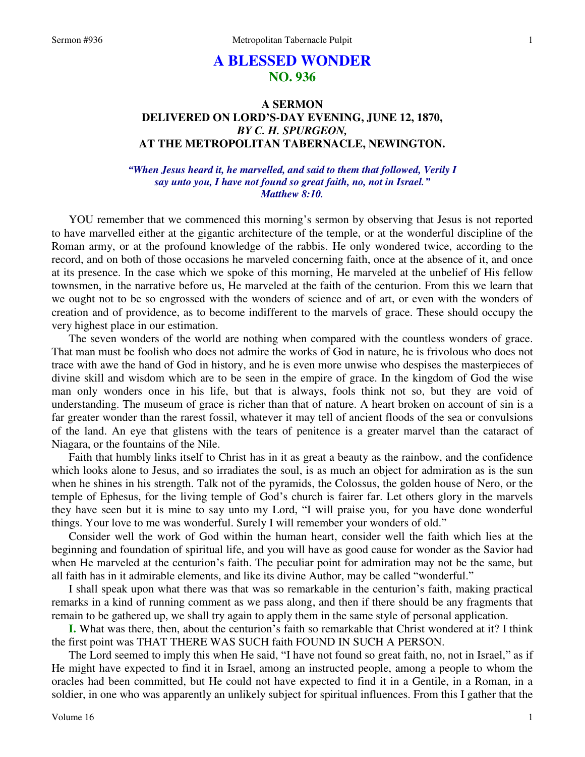# **A BLESSED WONDER NO. 936**

## **A SERMON DELIVERED ON LORD'S-DAY EVENING, JUNE 12, 1870,**  *BY C. H. SPURGEON,*  **AT THE METROPOLITAN TABERNACLE, NEWINGTON.**

*"When Jesus heard it, he marvelled, and said to them that followed, Verily I say unto you, I have not found so great faith, no, not in Israel." Matthew 8:10.* 

YOU remember that we commenced this morning's sermon by observing that Jesus is not reported to have marvelled either at the gigantic architecture of the temple, or at the wonderful discipline of the Roman army, or at the profound knowledge of the rabbis. He only wondered twice, according to the record, and on both of those occasions he marveled concerning faith, once at the absence of it, and once at its presence. In the case which we spoke of this morning, He marveled at the unbelief of His fellow townsmen, in the narrative before us, He marveled at the faith of the centurion. From this we learn that we ought not to be so engrossed with the wonders of science and of art, or even with the wonders of creation and of providence, as to become indifferent to the marvels of grace. These should occupy the very highest place in our estimation.

The seven wonders of the world are nothing when compared with the countless wonders of grace. That man must be foolish who does not admire the works of God in nature, he is frivolous who does not trace with awe the hand of God in history, and he is even more unwise who despises the masterpieces of divine skill and wisdom which are to be seen in the empire of grace. In the kingdom of God the wise man only wonders once in his life, but that is always, fools think not so, but they are void of understanding. The museum of grace is richer than that of nature. A heart broken on account of sin is a far greater wonder than the rarest fossil, whatever it may tell of ancient floods of the sea or convulsions of the land. An eye that glistens with the tears of penitence is a greater marvel than the cataract of Niagara, or the fountains of the Nile.

Faith that humbly links itself to Christ has in it as great a beauty as the rainbow, and the confidence which looks alone to Jesus, and so irradiates the soul, is as much an object for admiration as is the sun when he shines in his strength. Talk not of the pyramids, the Colossus, the golden house of Nero, or the temple of Ephesus, for the living temple of God's church is fairer far. Let others glory in the marvels they have seen but it is mine to say unto my Lord, "I will praise you, for you have done wonderful things. Your love to me was wonderful. Surely I will remember your wonders of old."

Consider well the work of God within the human heart, consider well the faith which lies at the beginning and foundation of spiritual life, and you will have as good cause for wonder as the Savior had when He marveled at the centurion's faith. The peculiar point for admiration may not be the same, but all faith has in it admirable elements, and like its divine Author, may be called "wonderful."

I shall speak upon what there was that was so remarkable in the centurion's faith, making practical remarks in a kind of running comment as we pass along, and then if there should be any fragments that remain to be gathered up, we shall try again to apply them in the same style of personal application.

**I.** What was there, then, about the centurion's faith so remarkable that Christ wondered at it? I think the first point was THAT THERE WAS SUCH faith FOUND IN SUCH A PERSON.

The Lord seemed to imply this when He said, "I have not found so great faith, no, not in Israel," as if He might have expected to find it in Israel, among an instructed people, among a people to whom the oracles had been committed, but He could not have expected to find it in a Gentile, in a Roman, in a soldier, in one who was apparently an unlikely subject for spiritual influences. From this I gather that the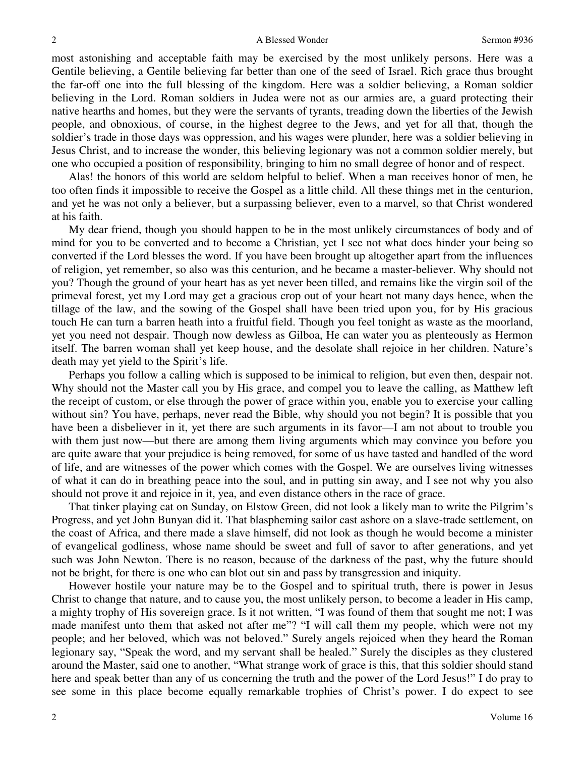most astonishing and acceptable faith may be exercised by the most unlikely persons. Here was a Gentile believing, a Gentile believing far better than one of the seed of Israel. Rich grace thus brought the far-off one into the full blessing of the kingdom. Here was a soldier believing, a Roman soldier believing in the Lord. Roman soldiers in Judea were not as our armies are, a guard protecting their native hearths and homes, but they were the servants of tyrants, treading down the liberties of the Jewish people, and obnoxious, of course, in the highest degree to the Jews, and yet for all that, though the soldier's trade in those days was oppression, and his wages were plunder, here was a soldier believing in Jesus Christ, and to increase the wonder, this believing legionary was not a common soldier merely, but one who occupied a position of responsibility, bringing to him no small degree of honor and of respect.

Alas! the honors of this world are seldom helpful to belief. When a man receives honor of men, he too often finds it impossible to receive the Gospel as a little child. All these things met in the centurion, and yet he was not only a believer, but a surpassing believer, even to a marvel, so that Christ wondered at his faith.

My dear friend, though you should happen to be in the most unlikely circumstances of body and of mind for you to be converted and to become a Christian, yet I see not what does hinder your being so converted if the Lord blesses the word. If you have been brought up altogether apart from the influences of religion, yet remember, so also was this centurion, and he became a master-believer. Why should not you? Though the ground of your heart has as yet never been tilled, and remains like the virgin soil of the primeval forest, yet my Lord may get a gracious crop out of your heart not many days hence, when the tillage of the law, and the sowing of the Gospel shall have been tried upon you, for by His gracious touch He can turn a barren heath into a fruitful field. Though you feel tonight as waste as the moorland, yet you need not despair. Though now dewless as Gilboa, He can water you as plenteously as Hermon itself. The barren woman shall yet keep house, and the desolate shall rejoice in her children. Nature's death may yet yield to the Spirit's life.

Perhaps you follow a calling which is supposed to be inimical to religion, but even then, despair not. Why should not the Master call you by His grace, and compel you to leave the calling, as Matthew left the receipt of custom, or else through the power of grace within you, enable you to exercise your calling without sin? You have, perhaps, never read the Bible, why should you not begin? It is possible that you have been a disbeliever in it, yet there are such arguments in its favor—I am not about to trouble you with them just now—but there are among them living arguments which may convince you before you are quite aware that your prejudice is being removed, for some of us have tasted and handled of the word of life, and are witnesses of the power which comes with the Gospel. We are ourselves living witnesses of what it can do in breathing peace into the soul, and in putting sin away, and I see not why you also should not prove it and rejoice in it, yea, and even distance others in the race of grace.

That tinker playing cat on Sunday, on Elstow Green, did not look a likely man to write the Pilgrim's Progress, and yet John Bunyan did it. That blaspheming sailor cast ashore on a slave-trade settlement, on the coast of Africa, and there made a slave himself, did not look as though he would become a minister of evangelical godliness, whose name should be sweet and full of savor to after generations, and yet such was John Newton. There is no reason, because of the darkness of the past, why the future should not be bright, for there is one who can blot out sin and pass by transgression and iniquity.

However hostile your nature may be to the Gospel and to spiritual truth, there is power in Jesus Christ to change that nature, and to cause you, the most unlikely person, to become a leader in His camp, a mighty trophy of His sovereign grace. Is it not written, "I was found of them that sought me not; I was made manifest unto them that asked not after me"? "I will call them my people, which were not my people; and her beloved, which was not beloved." Surely angels rejoiced when they heard the Roman legionary say, "Speak the word, and my servant shall be healed." Surely the disciples as they clustered around the Master, said one to another, "What strange work of grace is this, that this soldier should stand here and speak better than any of us concerning the truth and the power of the Lord Jesus!" I do pray to see some in this place become equally remarkable trophies of Christ's power. I do expect to see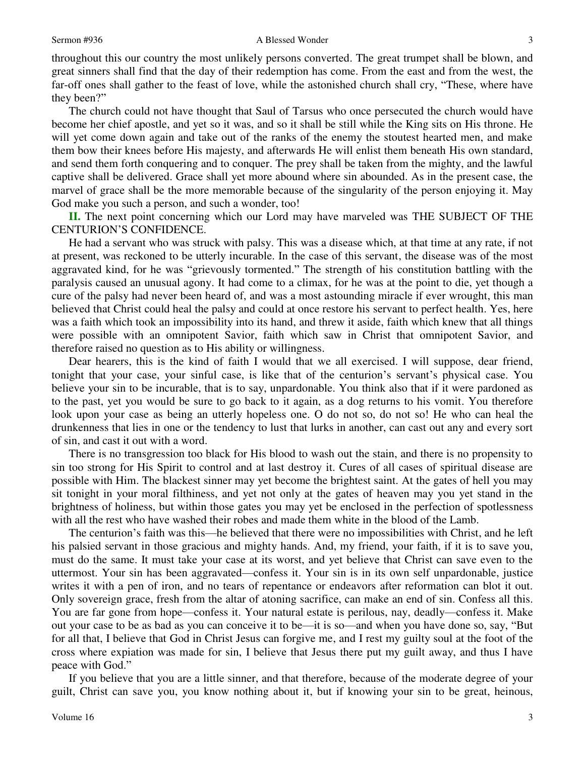throughout this our country the most unlikely persons converted. The great trumpet shall be blown, and great sinners shall find that the day of their redemption has come. From the east and from the west, the far-off ones shall gather to the feast of love, while the astonished church shall cry, "These, where have they been?"

The church could not have thought that Saul of Tarsus who once persecuted the church would have become her chief apostle, and yet so it was, and so it shall be still while the King sits on His throne. He will yet come down again and take out of the ranks of the enemy the stoutest hearted men, and make them bow their knees before His majesty, and afterwards He will enlist them beneath His own standard, and send them forth conquering and to conquer. The prey shall be taken from the mighty, and the lawful captive shall be delivered. Grace shall yet more abound where sin abounded. As in the present case, the marvel of grace shall be the more memorable because of the singularity of the person enjoying it. May God make you such a person, and such a wonder, too!

**II.** The next point concerning which our Lord may have marveled was THE SUBJECT OF THE CENTURION'S CONFIDENCE.

He had a servant who was struck with palsy. This was a disease which, at that time at any rate, if not at present, was reckoned to be utterly incurable. In the case of this servant, the disease was of the most aggravated kind, for he was "grievously tormented." The strength of his constitution battling with the paralysis caused an unusual agony. It had come to a climax, for he was at the point to die, yet though a cure of the palsy had never been heard of, and was a most astounding miracle if ever wrought, this man believed that Christ could heal the palsy and could at once restore his servant to perfect health. Yes, here was a faith which took an impossibility into its hand, and threw it aside, faith which knew that all things were possible with an omnipotent Savior, faith which saw in Christ that omnipotent Savior, and therefore raised no question as to His ability or willingness.

Dear hearers, this is the kind of faith I would that we all exercised. I will suppose, dear friend, tonight that your case, your sinful case, is like that of the centurion's servant's physical case. You believe your sin to be incurable, that is to say, unpardonable. You think also that if it were pardoned as to the past, yet you would be sure to go back to it again, as a dog returns to his vomit. You therefore look upon your case as being an utterly hopeless one. O do not so, do not so! He who can heal the drunkenness that lies in one or the tendency to lust that lurks in another, can cast out any and every sort of sin, and cast it out with a word.

There is no transgression too black for His blood to wash out the stain, and there is no propensity to sin too strong for His Spirit to control and at last destroy it. Cures of all cases of spiritual disease are possible with Him. The blackest sinner may yet become the brightest saint. At the gates of hell you may sit tonight in your moral filthiness, and yet not only at the gates of heaven may you yet stand in the brightness of holiness, but within those gates you may yet be enclosed in the perfection of spotlessness with all the rest who have washed their robes and made them white in the blood of the Lamb.

The centurion's faith was this—he believed that there were no impossibilities with Christ, and he left his palsied servant in those gracious and mighty hands. And, my friend, your faith, if it is to save you, must do the same. It must take your case at its worst, and yet believe that Christ can save even to the uttermost. Your sin has been aggravated—confess it. Your sin is in its own self unpardonable, justice writes it with a pen of iron, and no tears of repentance or endeavors after reformation can blot it out. Only sovereign grace, fresh from the altar of atoning sacrifice, can make an end of sin. Confess all this. You are far gone from hope—confess it. Your natural estate is perilous, nay, deadly—confess it. Make out your case to be as bad as you can conceive it to be—it is so—and when you have done so, say, "But for all that, I believe that God in Christ Jesus can forgive me, and I rest my guilty soul at the foot of the cross where expiation was made for sin, I believe that Jesus there put my guilt away, and thus I have peace with God."

If you believe that you are a little sinner, and that therefore, because of the moderate degree of your guilt, Christ can save you, you know nothing about it, but if knowing your sin to be great, heinous,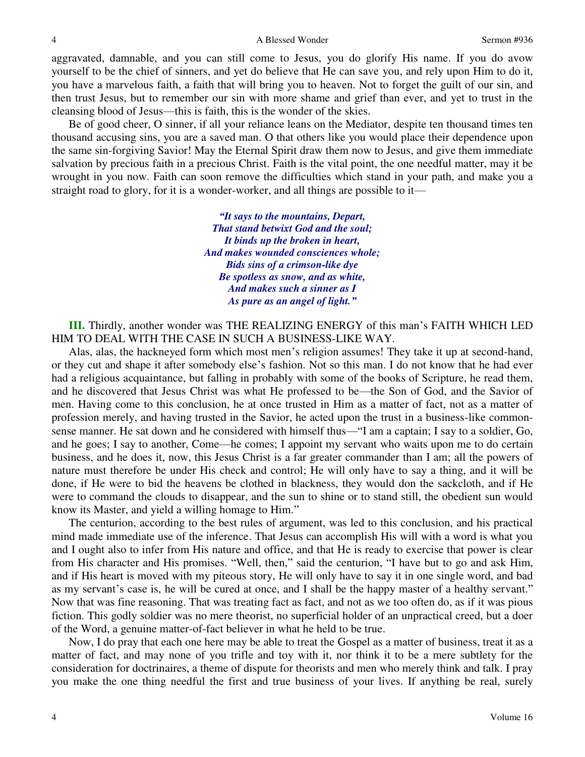aggravated, damnable, and you can still come to Jesus, you do glorify His name. If you do avow yourself to be the chief of sinners, and yet do believe that He can save you, and rely upon Him to do it, you have a marvelous faith, a faith that will bring you to heaven. Not to forget the guilt of our sin, and then trust Jesus, but to remember our sin with more shame and grief than ever, and yet to trust in the cleansing blood of Jesus—this is faith, this is the wonder of the skies.

Be of good cheer, O sinner, if all your reliance leans on the Mediator, despite ten thousand times ten thousand accusing sins, you are a saved man. O that others like you would place their dependence upon the same sin-forgiving Savior! May the Eternal Spirit draw them now to Jesus, and give them immediate salvation by precious faith in a precious Christ. Faith is the vital point, the one needful matter, may it be wrought in you now. Faith can soon remove the difficulties which stand in your path, and make you a straight road to glory, for it is a wonder-worker, and all things are possible to it—

> *"It says to the mountains, Depart, That stand betwixt God and the soul; It binds up the broken in heart, And makes wounded consciences whole; Bids sins of a crimson-like dye Be spotless as snow, and as white, And makes such a sinner as I As pure as an angel of light."*

**III.** Thirdly, another wonder was THE REALIZING ENERGY of this man's FAITH WHICH LED HIM TO DEAL WITH THE CASE IN SUCH A BUSINESS-LIKE WAY.

Alas, alas, the hackneyed form which most men's religion assumes! They take it up at second-hand, or they cut and shape it after somebody else's fashion. Not so this man. I do not know that he had ever had a religious acquaintance, but falling in probably with some of the books of Scripture, he read them, and he discovered that Jesus Christ was what He professed to be—the Son of God, and the Savior of men. Having come to this conclusion, he at once trusted in Him as a matter of fact, not as a matter of profession merely, and having trusted in the Savior, he acted upon the trust in a business-like commonsense manner. He sat down and he considered with himself thus—"I am a captain; I say to a soldier, Go, and he goes; I say to another, Come—he comes; I appoint my servant who waits upon me to do certain business, and he does it, now, this Jesus Christ is a far greater commander than I am; all the powers of nature must therefore be under His check and control; He will only have to say a thing, and it will be done, if He were to bid the heavens be clothed in blackness, they would don the sackcloth, and if He were to command the clouds to disappear, and the sun to shine or to stand still, the obedient sun would know its Master, and yield a willing homage to Him."

The centurion, according to the best rules of argument, was led to this conclusion, and his practical mind made immediate use of the inference. That Jesus can accomplish His will with a word is what you and I ought also to infer from His nature and office, and that He is ready to exercise that power is clear from His character and His promises. "Well, then," said the centurion, "I have but to go and ask Him, and if His heart is moved with my piteous story, He will only have to say it in one single word, and bad as my servant's case is, he will be cured at once, and I shall be the happy master of a healthy servant." Now that was fine reasoning. That was treating fact as fact, and not as we too often do, as if it was pious fiction. This godly soldier was no mere theorist, no superficial holder of an unpractical creed, but a doer of the Word, a genuine matter-of-fact believer in what he held to be true.

Now, I do pray that each one here may be able to treat the Gospel as a matter of business, treat it as a matter of fact, and may none of you trifle and toy with it, nor think it to be a mere subtlety for the consideration for doctrinaires, a theme of dispute for theorists and men who merely think and talk. I pray you make the one thing needful the first and true business of your lives. If anything be real, surely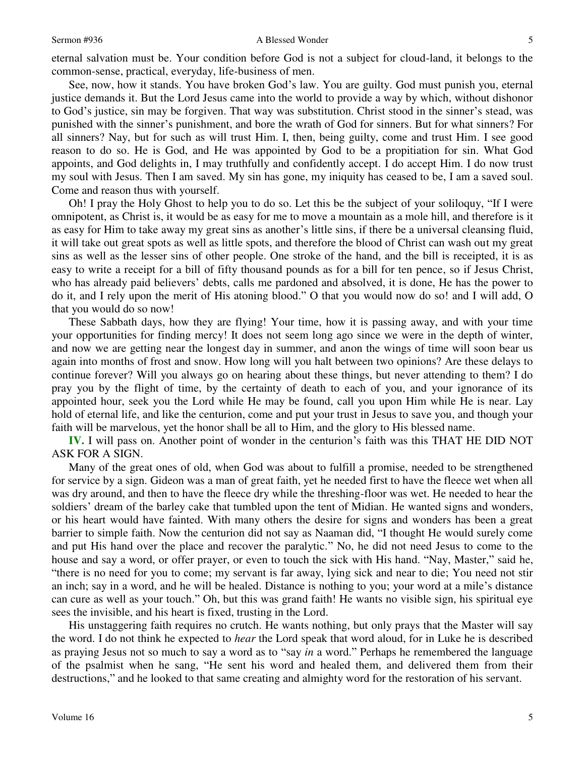### Sermon #936 A Blessed Wonder

eternal salvation must be. Your condition before God is not a subject for cloud-land, it belongs to the common-sense, practical, everyday, life-business of men.

See, now, how it stands. You have broken God's law. You are guilty. God must punish you, eternal justice demands it. But the Lord Jesus came into the world to provide a way by which, without dishonor to God's justice, sin may be forgiven. That way was substitution. Christ stood in the sinner's stead, was punished with the sinner's punishment, and bore the wrath of God for sinners. But for what sinners? For all sinners? Nay, but for such as will trust Him. I, then, being guilty, come and trust Him. I see good reason to do so. He is God, and He was appointed by God to be a propitiation for sin. What God appoints, and God delights in, I may truthfully and confidently accept. I do accept Him. I do now trust my soul with Jesus. Then I am saved. My sin has gone, my iniquity has ceased to be, I am a saved soul. Come and reason thus with yourself.

Oh! I pray the Holy Ghost to help you to do so. Let this be the subject of your soliloquy, "If I were omnipotent, as Christ is, it would be as easy for me to move a mountain as a mole hill, and therefore is it as easy for Him to take away my great sins as another's little sins, if there be a universal cleansing fluid, it will take out great spots as well as little spots, and therefore the blood of Christ can wash out my great sins as well as the lesser sins of other people. One stroke of the hand, and the bill is receipted, it is as easy to write a receipt for a bill of fifty thousand pounds as for a bill for ten pence, so if Jesus Christ, who has already paid believers' debts, calls me pardoned and absolved, it is done, He has the power to do it, and I rely upon the merit of His atoning blood." O that you would now do so! and I will add, O that you would do so now!

These Sabbath days, how they are flying! Your time, how it is passing away, and with your time your opportunities for finding mercy! It does not seem long ago since we were in the depth of winter, and now we are getting near the longest day in summer, and anon the wings of time will soon bear us again into months of frost and snow. How long will you halt between two opinions? Are these delays to continue forever? Will you always go on hearing about these things, but never attending to them? I do pray you by the flight of time, by the certainty of death to each of you, and your ignorance of its appointed hour, seek you the Lord while He may be found, call you upon Him while He is near. Lay hold of eternal life, and like the centurion, come and put your trust in Jesus to save you, and though your faith will be marvelous, yet the honor shall be all to Him, and the glory to His blessed name.

**IV.** I will pass on. Another point of wonder in the centurion's faith was this THAT HE DID NOT ASK FOR A SIGN.

Many of the great ones of old, when God was about to fulfill a promise, needed to be strengthened for service by a sign. Gideon was a man of great faith, yet he needed first to have the fleece wet when all was dry around, and then to have the fleece dry while the threshing-floor was wet. He needed to hear the soldiers' dream of the barley cake that tumbled upon the tent of Midian. He wanted signs and wonders, or his heart would have fainted. With many others the desire for signs and wonders has been a great barrier to simple faith. Now the centurion did not say as Naaman did, "I thought He would surely come and put His hand over the place and recover the paralytic." No, he did not need Jesus to come to the house and say a word, or offer prayer, or even to touch the sick with His hand. "Nay, Master," said he, "there is no need for you to come; my servant is far away, lying sick and near to die; You need not stir an inch; say in a word, and he will be healed. Distance is nothing to you; your word at a mile's distance can cure as well as your touch." Oh, but this was grand faith! He wants no visible sign, his spiritual eye sees the invisible, and his heart is fixed, trusting in the Lord.

His unstaggering faith requires no crutch. He wants nothing, but only prays that the Master will say the word. I do not think he expected to *hear* the Lord speak that word aloud, for in Luke he is described as praying Jesus not so much to say a word as to "say *in* a word." Perhaps he remembered the language of the psalmist when he sang, "He sent his word and healed them, and delivered them from their destructions," and he looked to that same creating and almighty word for the restoration of his servant.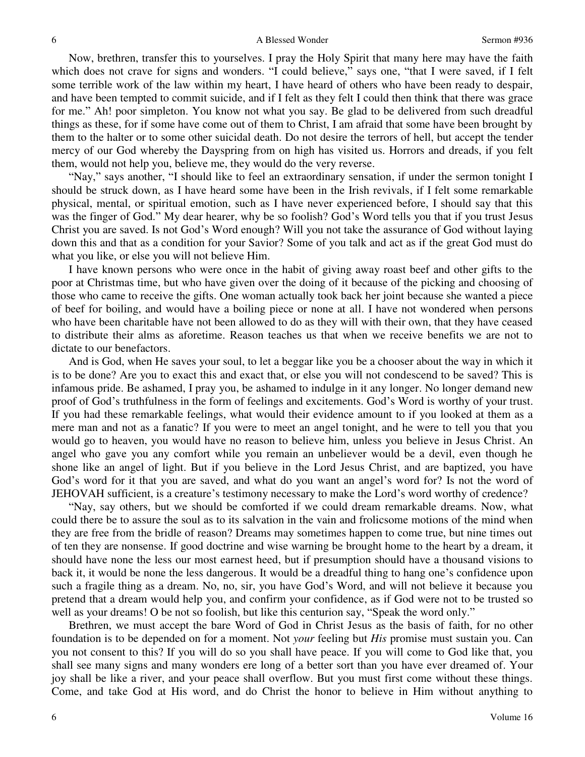Now, brethren, transfer this to yourselves. I pray the Holy Spirit that many here may have the faith which does not crave for signs and wonders. "I could believe," says one, "that I were saved, if I felt some terrible work of the law within my heart, I have heard of others who have been ready to despair, and have been tempted to commit suicide, and if I felt as they felt I could then think that there was grace for me." Ah! poor simpleton. You know not what you say. Be glad to be delivered from such dreadful things as these, for if some have come out of them to Christ, I am afraid that some have been brought by them to the halter or to some other suicidal death. Do not desire the terrors of hell, but accept the tender mercy of our God whereby the Dayspring from on high has visited us. Horrors and dreads, if you felt them, would not help you, believe me, they would do the very reverse.

"Nay," says another, "I should like to feel an extraordinary sensation, if under the sermon tonight I should be struck down, as I have heard some have been in the Irish revivals, if I felt some remarkable physical, mental, or spiritual emotion, such as I have never experienced before, I should say that this was the finger of God." My dear hearer, why be so foolish? God's Word tells you that if you trust Jesus Christ you are saved. Is not God's Word enough? Will you not take the assurance of God without laying down this and that as a condition for your Savior? Some of you talk and act as if the great God must do what you like, or else you will not believe Him.

I have known persons who were once in the habit of giving away roast beef and other gifts to the poor at Christmas time, but who have given over the doing of it because of the picking and choosing of those who came to receive the gifts. One woman actually took back her joint because she wanted a piece of beef for boiling, and would have a boiling piece or none at all. I have not wondered when persons who have been charitable have not been allowed to do as they will with their own, that they have ceased to distribute their alms as aforetime. Reason teaches us that when we receive benefits we are not to dictate to our benefactors.

And is God, when He saves your soul, to let a beggar like you be a chooser about the way in which it is to be done? Are you to exact this and exact that, or else you will not condescend to be saved? This is infamous pride. Be ashamed, I pray you, be ashamed to indulge in it any longer. No longer demand new proof of God's truthfulness in the form of feelings and excitements. God's Word is worthy of your trust. If you had these remarkable feelings, what would their evidence amount to if you looked at them as a mere man and not as a fanatic? If you were to meet an angel tonight, and he were to tell you that you would go to heaven, you would have no reason to believe him, unless you believe in Jesus Christ. An angel who gave you any comfort while you remain an unbeliever would be a devil, even though he shone like an angel of light. But if you believe in the Lord Jesus Christ, and are baptized, you have God's word for it that you are saved, and what do you want an angel's word for? Is not the word of JEHOVAH sufficient, is a creature's testimony necessary to make the Lord's word worthy of credence?

"Nay, say others, but we should be comforted if we could dream remarkable dreams. Now, what could there be to assure the soul as to its salvation in the vain and frolicsome motions of the mind when they are free from the bridle of reason? Dreams may sometimes happen to come true, but nine times out of ten they are nonsense. If good doctrine and wise warning be brought home to the heart by a dream, it should have none the less our most earnest heed, but if presumption should have a thousand visions to back it, it would be none the less dangerous. It would be a dreadful thing to hang one's confidence upon such a fragile thing as a dream. No, no, sir, you have God's Word, and will not believe it because you pretend that a dream would help you, and confirm your confidence, as if God were not to be trusted so well as your dreams! O be not so foolish, but like this centurion say, "Speak the word only."

Brethren, we must accept the bare Word of God in Christ Jesus as the basis of faith, for no other foundation is to be depended on for a moment. Not *your* feeling but *His* promise must sustain you. Can you not consent to this? If you will do so you shall have peace. If you will come to God like that, you shall see many signs and many wonders ere long of a better sort than you have ever dreamed of. Your joy shall be like a river, and your peace shall overflow. But you must first come without these things. Come, and take God at His word, and do Christ the honor to believe in Him without anything to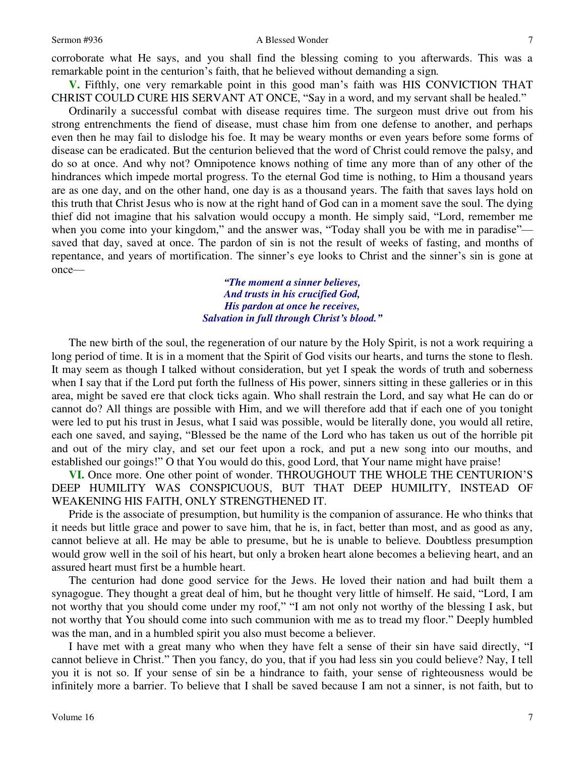### Sermon #936 A Blessed Wonder

corroborate what He says, and you shall find the blessing coming to you afterwards. This was a remarkable point in the centurion's faith, that he believed without demanding a sign*.*

**V.** Fifthly, one very remarkable point in this good man's faith was HIS CONVICTION THAT CHRIST COULD CURE HIS SERVANT AT ONCE, "Say in a word, and my servant shall be healed."

Ordinarily a successful combat with disease requires time. The surgeon must drive out from his strong entrenchments the fiend of disease, must chase him from one defense to another, and perhaps even then he may fail to dislodge his foe. It may be weary months or even years before some forms of disease can be eradicated. But the centurion believed that the word of Christ could remove the palsy, and do so at once. And why not? Omnipotence knows nothing of time any more than of any other of the hindrances which impede mortal progress. To the eternal God time is nothing, to Him a thousand years are as one day, and on the other hand, one day is as a thousand years. The faith that saves lays hold on this truth that Christ Jesus who is now at the right hand of God can in a moment save the soul. The dying thief did not imagine that his salvation would occupy a month. He simply said, "Lord, remember me when you come into your kingdom," and the answer was, "Today shall you be with me in paradise" saved that day, saved at once. The pardon of sin is not the result of weeks of fasting, and months of repentance, and years of mortification. The sinner's eye looks to Christ and the sinner's sin is gone at once—

> *"The moment a sinner believes, And trusts in his crucified God, His pardon at once he receives, Salvation in full through Christ's blood."*

The new birth of the soul, the regeneration of our nature by the Holy Spirit, is not a work requiring a long period of time. It is in a moment that the Spirit of God visits our hearts, and turns the stone to flesh. It may seem as though I talked without consideration, but yet I speak the words of truth and soberness when I say that if the Lord put forth the fullness of His power, sinners sitting in these galleries or in this area, might be saved ere that clock ticks again. Who shall restrain the Lord, and say what He can do or cannot do? All things are possible with Him, and we will therefore add that if each one of you tonight were led to put his trust in Jesus, what I said was possible, would be literally done, you would all retire, each one saved, and saying, "Blessed be the name of the Lord who has taken us out of the horrible pit and out of the miry clay, and set our feet upon a rock, and put a new song into our mouths, and established our goings!" O that You would do this, good Lord, that Your name might have praise!

**VI.** Once more. One other point of wonder. THROUGHOUT THE WHOLE THE CENTURION'S DEEP HUMILITY WAS CONSPICUOUS, BUT THAT DEEP HUMILITY, INSTEAD OF WEAKENING HIS FAITH, ONLY STRENGTHENED IT.

Pride is the associate of presumption, but humility is the companion of assurance. He who thinks that it needs but little grace and power to save him, that he is, in fact, better than most, and as good as any, cannot believe at all. He may be able to presume, but he is unable to believe*.* Doubtless presumption would grow well in the soil of his heart, but only a broken heart alone becomes a believing heart, and an assured heart must first be a humble heart.

The centurion had done good service for the Jews. He loved their nation and had built them a synagogue. They thought a great deal of him, but he thought very little of himself. He said, "Lord, I am not worthy that you should come under my roof," "I am not only not worthy of the blessing I ask, but not worthy that You should come into such communion with me as to tread my floor." Deeply humbled was the man, and in a humbled spirit you also must become a believer.

I have met with a great many who when they have felt a sense of their sin have said directly, "I cannot believe in Christ." Then you fancy, do you, that if you had less sin you could believe? Nay, I tell you it is not so. If your sense of sin be a hindrance to faith, your sense of righteousness would be infinitely more a barrier. To believe that I shall be saved because I am not a sinner, is not faith, but to